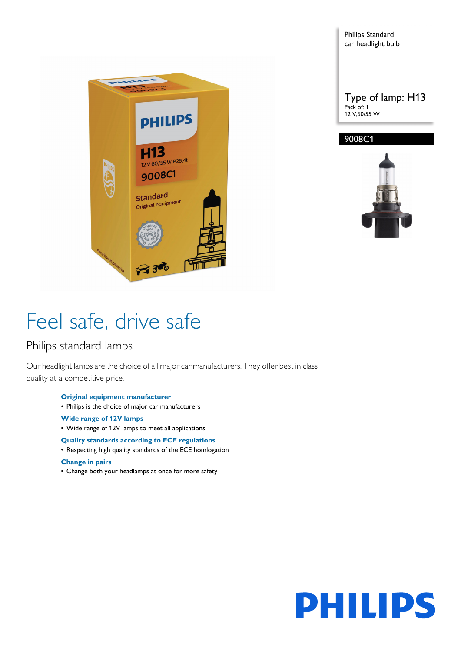

Philips Standard car headlight bulb Type of lamp: H13 Pack of: 1 12 V,60/55 W 9008C1



# Feel safe, drive safe

### Philips standard lamps

Our headlight lamps are the choice of all major car manufacturers. They offer best in class quality at a competitive price.

- **Original equipment manufacturer**
- Philips is the choice of major car manufacturers
- **Wide range of 12V lamps**
- Wide range of 12V lamps to meet all applications

#### **Quality standards according to ECE regulations**

• Respecting high quality standards of the ECE homlogation

#### **Change in pairs**

• Change both your headlamps at once for more safety